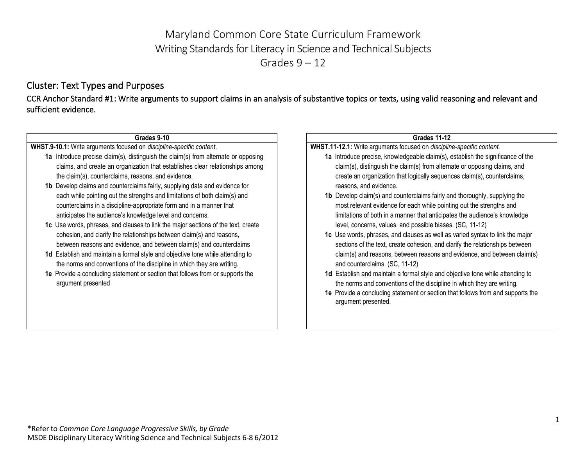# Maryland Common Core State Curriculum Framework Writing Standards for Literacy in Science and Technical Subjects Grades  $9 - 12$

## Cluster: Text Types and Purposes

CCR Anchor Standard #1: Write arguments to support claims in an analysis of substantive topics or texts, using valid reasoning and relevant and sufficient evidence.

#### **Grades 9-10**

**WHST.9-10.1:** Write arguments focused on *discipline-specific content*.

- **1a** Introduce precise claim(s), distinguish the claim(s) from alternate or opposing claims, and create an organization that establishes clear relationships among the claim(s), counterclaims, reasons, and evidence.
- **1b** Develop claims and counterclaims fairly, supplying data and evidence for each while pointing out the strengths and limitations of both claim(s) and counterclaims in a discipline-appropriate form and in a manner that anticipates the audience's knowledge level and concerns.
- **1c** Use words, phrases, and clauses to link the major sections of the text, create cohesion, and clarify the relationships between claim(s) and reasons, between reasons and evidence, and between claim(s) and counterclaims
- **1d** Establish and maintain a formal style and objective tone while attending to the norms and conventions of the discipline in which they are writing.
- **1e** Provide a concluding statement or section that follows from or supports the argument presented

### **Grades 11-12**

**WHST.11-12.1:** Write arguments focused on *discipline-specific content.*

- **1a** Introduce precise, knowledgeable claim(s), establish the significance of the claim(s), distinguish the claim(s) from alternate or opposing claims, and create an organization that logically sequences claim(s), counterclaims, reasons, and evidence.
- **1b** Develop claim(s) and counterclaims fairly and thoroughly, supplying the most relevant evidence for each while pointing out the strengths and limitations of both in a manner that anticipates the audience's knowledge level, concerns, values, and possible biases. (SC, 11-12)
- **1c** Use words, phrases, and clauses as well as varied syntax to link the major sections of the text, create cohesion, and clarify the relationships between claim(s) and reasons, between reasons and evidence, and between claim(s) and counterclaims. (SC, 11-12)
- **1d** Establish and maintain a formal style and objective tone while attending to the norms and conventions of the discipline in which they are writing.
- **1e** Provide a concluding statement or section that follows from and supports the argument presented.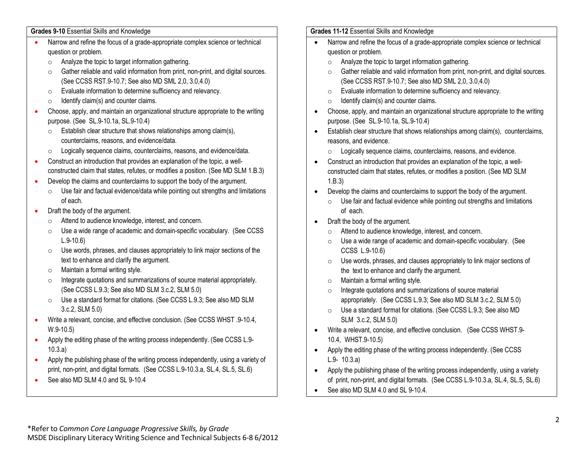**Grades 9-10** Essential Skills and Knowledge

- Narrow and refine the focus of a grade-appropriate complex science or technical question or problem.
	- o Analyze the topic to target information gathering.
	- o Gather reliable and valid information from print, non-print, and digital sources. (See CCSS RST.9-10.7; See also MD SML 2,0, 3.0,4.0)
	- o Evaluate information to determine sufficiency and relevancy.
	- $\circ$  Identify claim(s) and counter claims.
- Choose, apply, and maintain an organizational structure appropriate to the writing purpose. (See SL.9-10.1a, SL.9-10.4)
	- $\circ$  Establish clear structure that shows relationships among claim(s), counterclaims, reasons, and evidence/data.
	- o Logically sequence claims, counterclaims, reasons, and evidence/data.
- Construct an introduction that provides an explanation of the topic, a wellconstructed claim that states, refutes, or modifies a position. (See MD SLM 1.B.3)
- Develop the claims and counterclaims to support the body of the argument.
	- o Use fair and factual evidence/data while pointing out strengths and limitations of each.
- Draft the body of the argument.
	- o Attend to audience knowledge, interest, and concern.
	- o Use a wide range of academic and domain-specific vocabulary. (See CCSS L.9-10.6)
	- o Use words, phrases, and clauses appropriately to link major sections of the text to enhance and clarify the argument.
	- o Maintain a formal writing style.
	- o Integrate quotations and summarizations of source material appropriately. (See CCSS L.9.3; See also MD SLM 3.c.2, SLM 5.0)
	- o Use a standard format for citations. (See CCSS L.9.3; See also MD SLM 3.c.2, SLM 5.0)
- Write a relevant, concise, and effective conclusion. (See CCSS WHST .9-10.4, W.9-10.5)
- Apply the editing phase of the writing process independently. (See CCSS L.9-10.3.a)
- Apply the publishing phase of the writing process independently, using a variety of print, non-print, and digital formats. (See CCSS L.9-10.3.a, SL.4, SL.5, SL.6)
- See also MD SLM 4.0 and SL 9-10.4

### **Grades 11-12** Essential Skills and Knowledge

- Narrow and refine the focus of a grade-appropriate complex science or technical question or problem.
	- o Analyze the topic to target information gathering.
	- o Gather reliable and valid information from print, non-print, and digital sources. (See CCSS RST.9-10.7; See also MD SML 2,0, 3.0,4.0)
	- o Evaluate information to determine sufficiency and relevancy.
	- $\circ$  Identify claim(s) and counter claims.
- Choose, apply, and maintain an organizational structure appropriate to the writing purpose. (See SL.9-10.1a, SL.9-10.4)
- Establish clear structure that shows relationships among claim(s), counterclaims, reasons, and evidence.
	- o Logically sequence claims, counterclaims, reasons, and evidence.
- Construct an introduction that provides an explanation of the topic, a wellconstructed claim that states, refutes, or modifies a position. (See MD SLM 1.B.3)
- Develop the claims and counterclaims to support the body of the argument.
	- $\circ$  Use fair and factual evidence while pointing out strengths and limitations of each.
- Draft the body of the argument.
	- o Attend to audience knowledge, interest, and concern.
	- o Use a wide range of academic and domain-specific vocabulary. (See CCSS L.9-10.6)
	- o Use words, phrases, and clauses appropriately to link major sections of the text to enhance and clarify the argument.
	- o Maintain a formal writing style.
	- o Integrate quotations and summarizations of source material appropriately. (See CCSS L.9.3; See also MD SLM 3.c.2, SLM 5.0)
	- o Use a standard format for citations. (See CCSS L.9.3; See also MD SLM 3.c.2, SLM 5.0)
- Write a relevant, concise, and effective conclusion. (See CCSS WHST.9- 10.4, WHST.9-10.5)
- Apply the editing phase of the writing process independently. (See CCSS L.9- 10.3.a)
- Apply the publishing phase of the writing process independently, using a variety of print, non-print, and digital formats. (See CCSS L.9-10.3.a, SL.4, SL.5, SL.6)
- See also MD SLM 4.0 and SL 9-10.4.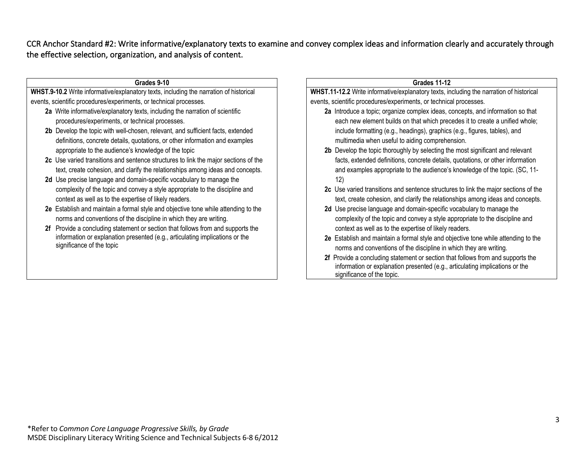CCR Anchor Standard #2: Write informative/explanatory texts to examine and convey complex ideas and information clearly and accurately through the effective selection, organization, and analysis of content.

| Grades 11-12                                                                                                                                             |
|----------------------------------------------------------------------------------------------------------------------------------------------------------|
| WHST.11-12.2 Write informative/explanatory texts, including the narration of historical                                                                  |
| events, scientific procedures/experiments, or technical processes.                                                                                       |
| 2a Introduce a topic; organize complex ideas, concepts, and information so that                                                                          |
| each new element builds on that which precedes it to create a unified whole;                                                                             |
| include formatting (e.g., headings), graphics (e.g., figures, tables), and                                                                               |
| multimedia when useful to aiding comprehension.                                                                                                          |
| 2b Develop the topic thoroughly by selecting the most significant and relevant                                                                           |
| facts, extended definitions, concrete details, quotations, or other information                                                                          |
| and examples appropriate to the audience's knowledge of the topic. (SC, 11-                                                                              |
| 12)                                                                                                                                                      |
| 2c Use varied transitions and sentence structures to link the major sections of the                                                                      |
| text, create cohesion, and clarify the relationships among ideas and concepts.                                                                           |
| 2d Use precise language and domain-specific vocabulary to manage the                                                                                     |
| complexity of the topic and convey a style appropriate to the discipline and                                                                             |
| context as well as to the expertise of likely readers.                                                                                                   |
|                                                                                                                                                          |
| 2e Establish and maintain a formal style and objective tone while attending to the<br>norms and conventions of the discipline in which they are writing. |
| 2f Provide a concluding statement or section that follows from and supports the                                                                          |
| information or explanation presented (e.g., articulating implications or the<br>significance of the topic.                                               |
|                                                                                                                                                          |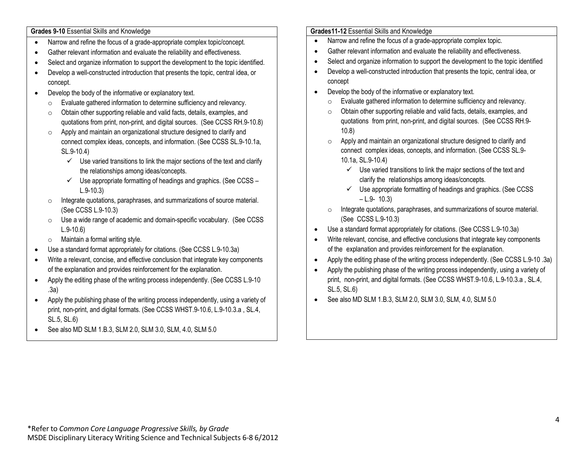**Grades 9-10** Essential Skills and Knowledge

- Narrow and refine the focus of a grade-appropriate complex topic/concept.
- Gather relevant information and evaluate the reliability and effectiveness.
- Select and organize information to support the development to the topic identified.
- Develop a well-constructed introduction that presents the topic, central idea, or concept.
- Develop the body of the informative or explanatory text.
	- o Evaluate gathered information to determine sufficiency and relevancy.
	- o Obtain other supporting reliable and valid facts, details, examples, and quotations from print, non-print, and digital sources. (See CCSS RH.9-10.8)
	- o Apply and maintain an organizational structure designed to clarify and connect complex ideas, concepts, and information. (See CCSS SL.9-10.1a, SL.9-10.4)
		- $\checkmark$  Use varied transitions to link the major sections of the text and clarify the relationships among ideas/concepts.
		- $\checkmark$  Use appropriate formatting of headings and graphics. (See CCSS L.9-10.3)
	- o Integrate quotations, paraphrases, and summarizations of source material. (See CCSS L.9-10.3)
	- o Use a wide range of academic and domain-specific vocabulary. (See CCSS L.9-10.6)
	- o Maintain a formal writing style.
- Use a standard format appropriately for citations. (See CCSS L.9-10.3a)
- Write a relevant, concise, and effective conclusion that integrate key components of the explanation and provides reinforcement for the explanation.
- Apply the editing phase of the writing process independently. (See CCSS L.9-10) .3a)
- Apply the publishing phase of the writing process independently, using a variety of print, non-print, and digital formats. (See CCSS WHST.9-10.6, L.9-10.3.a , SL.4, SL.5, SL.6)
- See also MD SLM 1.B.3, SLM 2.0, SLM 3.0, SLM, 4.0, SLM 5.0

### **Grades11-12** Essential Skills and Knowledge

- Narrow and refine the focus of a grade-appropriate complex topic.
- Gather relevant information and evaluate the reliability and effectiveness.
- Select and organize information to support the development to the topic identified
- Develop a well-constructed introduction that presents the topic, central idea, or concept
- Develop the body of the informative or explanatory text.
	- o Evaluate gathered information to determine sufficiency and relevancy.
	- o Obtain other supporting reliable and valid facts, details, examples, and quotations from print, non-print, and digital sources. (See CCSS RH.9- 10.8)
	- o Apply and maintain an organizational structure designed to clarify and connect complex ideas, concepts, and information. (See CCSS SL.9- 10.1a, SL.9-10.4)
		- $\checkmark$  Use varied transitions to link the major sections of the text and clarify the relationships among ideas/concepts.
		- $\checkmark$  Use appropriate formatting of headings and graphics. (See CCSS  $-$  L.9- 10.3)
	- $\circ$  Integrate quotations, paraphrases, and summarizations of source material. (See CCSS L.9-10.3)
- Use a standard format appropriately for citations. (See CCSS L.9-10.3a)
- Write relevant, concise, and effective conclusions that integrate key components of the explanation and provides reinforcement for the explanation.
- Apply the editing phase of the writing process independently. (See CCSS L.9-10 .3a)
- Apply the publishing phase of the writing process independently, using a variety of print, non-print, and digital formats. (See CCSS WHST.9-10.6, L.9-10.3.a , SL.4, SL.5, SL.6)
- See also MD SLM 1.B.3, SLM 2.0, SLM 3.0, SLM, 4.0, SLM 5.0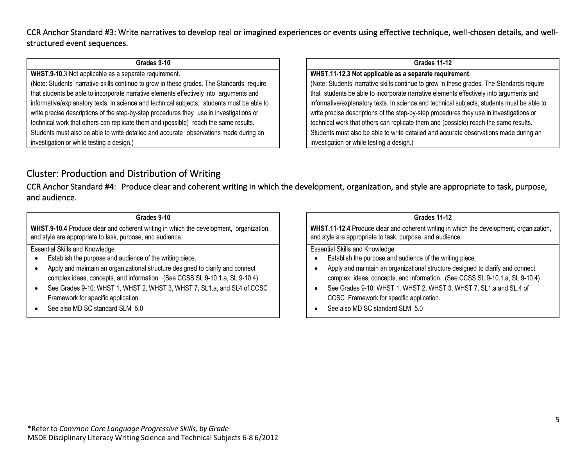CCR Anchor Standard #3: Write narratives to develop real or imagined experiences or events using effective technique, well-chosen details, and wellstructured event sequences.

#### **Grades 9-10**

**WHST.9-10.**3 Not applicable as a separate requirement.

(Note: Students' narrative skills continue to grow in these grades. The Standards require that students be able to incorporate narrative elements effectively into arguments and informative/explanatory texts. In science and technical subjects, students must be able to write precise descriptions of the step-by-step procedures they use in investigations or technical work that others can replicate them and (possible) reach the same results. Students must also be able to write detailed and accurate observations made during an investigation or while testing a design.)

### **Grades 11-12**

**WHST.11-12.3 Not applicable as a separate requirement**.

(Note: Students' narrative skills continue to grow in these grades. The Standards require that students be able to incorporate narrative elements effectively into arguments and informative/explanatory texts. In science and technical subjects, students must be able to write precise descriptions of the step-by-step procedures they use in investigations or technical work that others can replicate them and (possible) reach the same results. Students must also be able to write detailed and accurate observations made during an investigation or while testing a design.)

## Cluster: Production and Distribution of Writing

CCR Anchor Standard #4: Produce clear and coherent writing in which the development, organization, and style are appropriate to task, purpose, and audience.

| Grades 9-10                                                                                                                                         |                       |
|-----------------------------------------------------------------------------------------------------------------------------------------------------|-----------------------|
| WHST.9-10.4 Produce clear and coherent writing in which the development, organization,<br>and style are appropriate to task, purpose, and audience. | <b>WHST</b><br>and st |
| <b>Essential Skills and Knowledge</b>                                                                                                               | Essen                 |
| Establish the purpose and audience of the writing piece.                                                                                            | $\bullet$             |
| Apply and maintain an organizational structure designed to clarify and connect                                                                      |                       |
| complex ideas, concepts, and information. (See CCSS SL.9-10.1.a, SL.9-10.4)                                                                         |                       |
| See Grades 9-10: WHST 1, WHST 2, WHST 3, WHST 7, SL1.a, and SL4 of CCSC                                                                             |                       |

- Framework for specific application.
- See also MD SC standard SLM 5.0

| <b>Grades 11-12</b> |  |  |  |
|---------------------|--|--|--|
|---------------------|--|--|--|

**F.11-12.4** Produce clear and coherent writing in which the development, organization, tyle are appropriate to task, purpose, and audience.

Itial Skills and Knowledge

- Establish the purpose and audience of the writing piece.
- Apply and maintain an organizational structure designed to clarify and connect complex ideas, concepts, and information. (See CCSS SL.9-10.1.a, SL.9-10.4)
- See Grades 9-10: WHST 1, WHST 2, WHST 3, WHST 7, SL1.a and SL.4 of CCSC Framework for specific application.
- See also MD SC standard SLM 5.0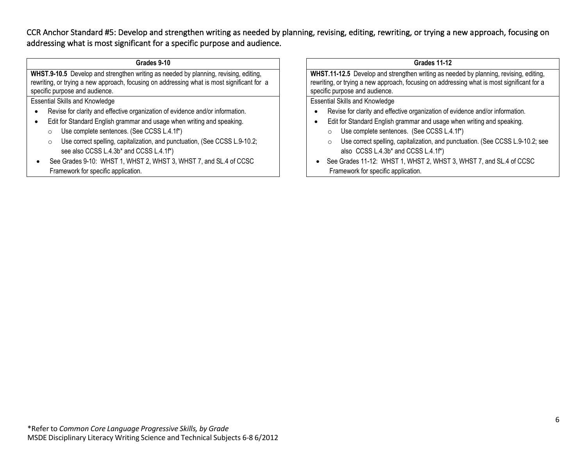CCR Anchor Standard #5: Develop and strengthen writing as needed by planning, revising, editing, rewriting, or trying a new approach, focusing on addressing what is most significant for a specific purpose and audience.

| Grades 9-10                                                                                                                                                                                                          |                         |
|----------------------------------------------------------------------------------------------------------------------------------------------------------------------------------------------------------------------|-------------------------|
| WHST.9-10.5 Develop and strengthen writing as needed by planning, revising, editing,<br>rewriting, or trying a new approach, focusing on addressing what is most significant for a<br>specific purpose and audience. | <b>WH</b><br>rew<br>spe |
| <b>Essential Skills and Knowledge</b>                                                                                                                                                                                | Ess                     |
| Revise for clarity and effective organization of evidence and/or information.<br>$\bullet$                                                                                                                           | $\bullet$               |
| Edit for Standard English grammar and usage when writing and speaking.<br>$\bullet$                                                                                                                                  |                         |
| Use complete sentences. (See CCSS L.4.1f*)<br>$\circ$                                                                                                                                                                |                         |
| Use correct spelling, capitalization, and punctuation, (See CCSS L.9-10.2;<br>$\circ$<br>see also CCSS L.4.3b* and CCSS L.4.1f*)                                                                                     |                         |
| See Grades 9-10: WHST 1, WHST 2, WHST 3, WHST 7, and SL.4 of CCSC                                                                                                                                                    |                         |

Framework for specific application.

**Grades 11-12**

**IST.11-12.5** Develop and strengthen writing as needed by planning, revising, editing, riting, or trying a new approach, focusing on addressing what is most significant for a ecific purpose and audience.

sential Skills and Knowledge

- Revise for clarity and effective organization of evidence and/or information.
- Edit for Standard English grammar and usage when writing and speaking.
	- o Use complete sentences. (See CCSS L.4.1f\*)
	- o Use correct spelling, capitalization, and punctuation. (See CCSS L.9-10.2; see also CCSS L.4.3b\* and CCSS L.4.1f\*)
- See Grades 11-12: WHST 1, WHST 2, WHST 3, WHST 7, and SL.4 of CCSC Framework for specific application.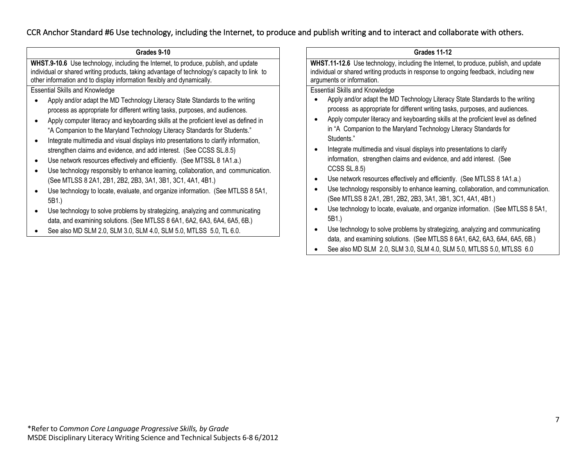## CCR Anchor Standard #6 Use technology, including the Internet, to produce and publish writing and to interact and collaborate with others.

| Grades 9-10                                                                                                                                                                                                                                                                                                                                                                                                                                                                                                                                                                                                                                                                                                                                                                                                                                                                                                                                                                                                                                                                                            | <b>Grades 11-12</b>                                                                                                                                                                                                                                                                                                                                                                                                                                                                                                                                                                                                                                                                                                                                                                                                                                                                                                                                                                                                                   |
|--------------------------------------------------------------------------------------------------------------------------------------------------------------------------------------------------------------------------------------------------------------------------------------------------------------------------------------------------------------------------------------------------------------------------------------------------------------------------------------------------------------------------------------------------------------------------------------------------------------------------------------------------------------------------------------------------------------------------------------------------------------------------------------------------------------------------------------------------------------------------------------------------------------------------------------------------------------------------------------------------------------------------------------------------------------------------------------------------------|---------------------------------------------------------------------------------------------------------------------------------------------------------------------------------------------------------------------------------------------------------------------------------------------------------------------------------------------------------------------------------------------------------------------------------------------------------------------------------------------------------------------------------------------------------------------------------------------------------------------------------------------------------------------------------------------------------------------------------------------------------------------------------------------------------------------------------------------------------------------------------------------------------------------------------------------------------------------------------------------------------------------------------------|
| WHST.9-10.6 Use technology, including the Internet, to produce, publish, and update<br>individual or shared writing products, taking advantage of technology's capacity to link to<br>other information and to display information flexibly and dynamically.                                                                                                                                                                                                                                                                                                                                                                                                                                                                                                                                                                                                                                                                                                                                                                                                                                           | WHST.11-12.6 Use technology, including the Internet, to produce, publish, and update<br>individual or shared writing products in response to ongoing feedback, including new<br>arguments or information.                                                                                                                                                                                                                                                                                                                                                                                                                                                                                                                                                                                                                                                                                                                                                                                                                             |
| <b>Essential Skills and Knowledge</b><br>Apply and/or adapt the MD Technology Literacy State Standards to the writing<br>process as appropriate for different writing tasks, purposes, and audiences.<br>Apply computer literacy and keyboarding skills at the proficient level as defined in<br>"A Companion to the Maryland Technology Literacy Standards for Students."<br>Integrate multimedia and visual displays into presentations to clarify information,<br>strengthen claims and evidence, and add interest. (See CCSS SL.8.5)<br>Use network resources effectively and efficiently. (See MTSSL 8 1A1.a.)<br>Use technology responsibly to enhance learning, collaboration, and communication.<br>(See MTLSS 8 2A1, 2B1, 2B2, 2B3, 3A1, 3B1, 3C1, 4A1, 4B1.)<br>Use technology to locate, evaluate, and organize information. (See MTLSS 8 5A1,<br>5B1.)<br>Use technology to solve problems by strategizing, analyzing and communicating<br>data, and examining solutions. (See MTLSS 8 6A1, 6A2, 6A3, 6A4, 6A5, 6B.)<br>See also MD SLM 2.0, SLM 3.0, SLM 4.0, SLM 5.0, MTLSS 5.0, TL 6.0. | <b>Essential Skills and Knowledge</b><br>Apply and/or adapt the MD Technology Literacy State Standards to the writing<br>process as appropriate for different writing tasks, purposes, and audiences.<br>Apply computer literacy and keyboarding skills at the proficient level as defined<br>in "A Companion to the Maryland Technology Literacy Standards for<br>Students."<br>Integrate multimedia and visual displays into presentations to clarify<br>information, strengthen claims and evidence, and add interest. (See<br>CCSS SL.8.5<br>Use network resources effectively and efficiently. (See MTLSS 8 1A1.a.)<br>Use technology responsibly to enhance learning, collaboration, and communication.<br>(See MTLSS 8 2A1, 2B1, 2B2, 2B3, 3A1, 3B1, 3C1, 4A1, 4B1.)<br>Use technology to locate, evaluate, and organize information. (See MTLSS 8 5A1,<br>5B1.)<br>Use technology to solve problems by strategizing, analyzing and communicating<br>data, and examining solutions. (See MTLSS 8 6A1, 6A2, 6A3, 6A4, 6A5, 6B.) |

• See also MD SLM 2.0, SLM 3.0, SLM 4.0, SLM 5.0, MTLSS 5.0, MTLSS 6.0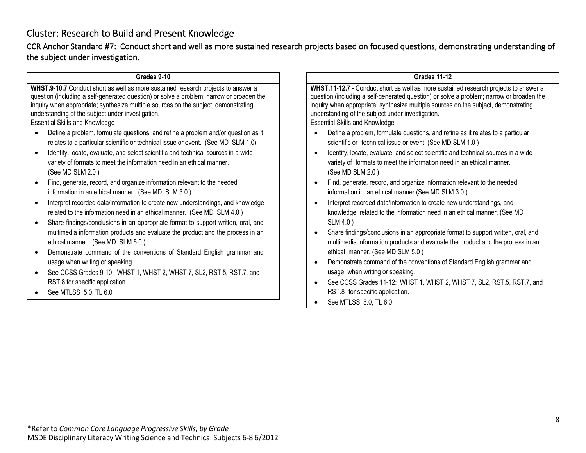# Cluster: Research to Build and Present Knowledge

CCR Anchor Standard #7: Conduct short and well as more sustained research projects based on focused questions, demonstrating understanding of the subject under investigation.

| Grades 9-10                                                                              | <b>Grades 11-12</b>                                                                      |
|------------------------------------------------------------------------------------------|------------------------------------------------------------------------------------------|
| WHST.9-10.7 Conduct short as well as more sustained research projects to answer a        | WHST.11-12.7 - Conduct short as well as more sustained research projects to answer a     |
| question (including a self-generated question) or solve a problem; narrow or broaden the | question (including a self-generated question) or solve a problem; narrow or broaden the |
| inquiry when appropriate; synthesize multiple sources on the subject, demonstrating      | inquiry when appropriate; synthesize multiple sources on the subject, demonstrating      |
| understanding of the subject under investigation.                                        | understanding of the subject under investigation.                                        |
| <b>Essential Skills and Knowledge</b>                                                    | <b>Essential Skills and Knowledge</b>                                                    |
| Define a problem, formulate questions, and refine a problem and/or question as it        | Define a problem, formulate questions, and refine as it relates to a particular          |
| relates to a particular scientific or technical issue or event. (See MD SLM 1.0)         | scientific or technical issue or event. (See MD SLM 1.0)                                 |
| Identify, locate, evaluate, and select scientific and technical sources in a wide        | Identify, locate, evaluate, and select scientific and technical sources in a wide        |
| variety of formats to meet the information need in an ethical manner.                    | variety of formats to meet the information need in an ethical manner.                    |
| (See MD SLM 2.0)                                                                         | (See MD SLM 2.0)                                                                         |
| Find, generate, record, and organize information relevant to the needed                  | Find, generate, record, and organize information relevant to the needed                  |
| information in an ethical manner. (See MD SLM 3.0)                                       | information in an ethical manner (See MD SLM 3.0)                                        |
| Interpret recorded data/information to create new understandings, and knowledge          | Interpret recorded data/information to create new understandings, and                    |
| related to the information need in an ethical manner. (See MD SLM 4.0)                   | knowledge related to the information need in an ethical manner. (See MD                  |
| Share findings/conclusions in an appropriate format to support written, oral, and        | SLM 4.0)                                                                                 |
| multimedia information products and evaluate the product and the process in an           | Share findings/conclusions in an appropriate format to support written, oral, and        |
| ethical manner. (See MD SLM 5.0)                                                         | multimedia information products and evaluate the product and the process in an           |
| Demonstrate command of the conventions of Standard English grammar and                   | ethical manner. (See MD SLM 5.0)                                                         |
| usage when writing or speaking.                                                          | Demonstrate command of the conventions of Standard English grammar and                   |
| See CCSS Grades 9-10: WHST 1, WHST 2, WHST 7, SL2, RST.5, RST.7, and                     | usage when writing or speaking.                                                          |
| RST.8 for specific application.                                                          | See CCSS Grades 11-12: WHST 1, WHST 2, WHST 7, SL2, RST.5, RST.7, and                    |
| See MTLSS 5.0, TL 6.0                                                                    | RST.8 for specific application.                                                          |
|                                                                                          | See MTLSS 5.0, TL 6.0                                                                    |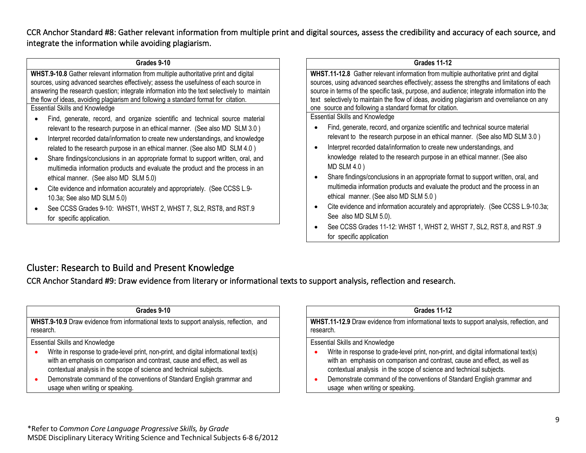CCR Anchor Standard #8: Gather relevant information from multiple print and digital sources, assess the credibility and accuracy of each source, and integrate the information while avoiding plagiarism.

| Grades 9-10 |  |
|-------------|--|
|-------------|--|

**WHST.9-10.8** Gather relevant information from multiple authoritative print and digital sources, using advanced searches effectively; assess the usefulness of each source in answering the research question; integrate information into the text selectively to maintain the flow of ideas, avoiding plagiarism and following a standard format for citation.

Essential Skills and Knowledge

- Find, generate, record, and organize scientific and technical source material relevant to the research purpose in an ethical manner. (See also MD SLM 3.0 )
- Interpret recorded data/information to create new understandings, and knowledge related to the research purpose in an ethical manner. (See also MD SLM 4.0 )
- Share findings/conclusions in an appropriate format to support written, oral, and multimedia information products and evaluate the product and the process in an ethical manner. (See also MD SLM 5.0)
- Cite evidence and information accurately and appropriately. (See CCSS L.9- 10.3a; See also MD SLM 5.0)
- See CCSS Grades 9-10: WHST1, WHST 2, WHST 7, SL2, RST8, and RST.9 for specific application.

**Grades 11-12**

**WHST.11-12.8** Gather relevant information from multiple authoritative print and digital sources, using advanced searches effectively; assess the strengths and limitations of each source in terms of the specific task, purpose, and audience; integrate information into the text selectively to maintain the flow of ideas, avoiding plagiarism and overreliance on any one source and following a standard format for citation.

Essential Skills and Knowledge

- Find, generate, record, and organize scientific and technical source material relevant to the research purpose in an ethical manner. (See also MD SLM 3.0 )
- Interpret recorded data/information to create new understandings, and knowledge related to the research purpose in an ethical manner. (See also MD SLM 4.0 )
- Share findings/conclusions in an appropriate format to support written, oral, and multimedia information products and evaluate the product and the process in an ethical manner. (See also MD SLM 5.0 )
- Cite evidence and information accurately and appropriately. (See CCSS L.9-10.3a; See also MD SLM 5.0).
- See CCSS Grades 11-12: WHST 1, WHST 2, WHST 7, SL2, RST.8, and RST .9 for specific application

## Cluster: Research to Build and Present Knowledge

CCR Anchor Standard #9: Draw evidence from literary or informational texts to support analysis, reflection and research.

| Grades 9-10                                                                                                                                                                                                                              |  |  |
|------------------------------------------------------------------------------------------------------------------------------------------------------------------------------------------------------------------------------------------|--|--|
| WHST.9-10.9 Draw evidence from informational texts to support analysis, reflection, and<br>research.                                                                                                                                     |  |  |
| <b>Essential Skills and Knowledge</b>                                                                                                                                                                                                    |  |  |
| Write in response to grade-level print, non-print, and digital informational text(s)<br>with an emphasis on comparison and contrast, cause and effect, as well as<br>contextual analysis in the scope of science and technical subjects. |  |  |
| Demonstrate command of the conventions of Standard English grammar and<br>usage when writing or speaking.                                                                                                                                |  |  |

#### **Grades 11-12**

**WHST.11-12.9** Draw evidence from informational texts to support analysis, reflection, and research.

Essential Skills and Knowledge

- Write in response to grade-level print, non-print, and digital informational text(s) with an emphasis on comparison and contrast, cause and effect, as well as contextual analysis in the scope of science and technical subjects.
- Demonstrate command of the conventions of Standard English grammar and usage when writing or speaking.